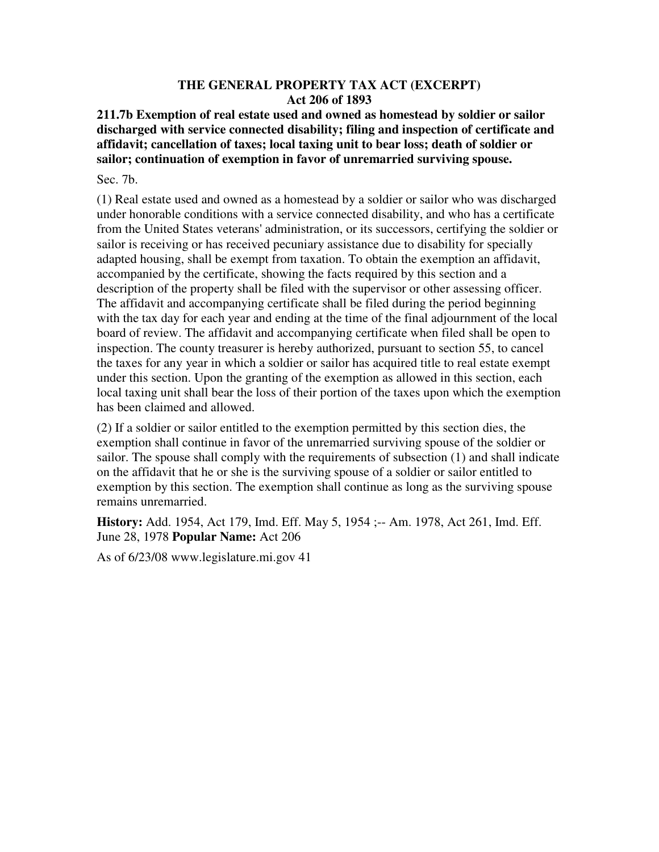## **THE GENERAL PROPERTY TAX ACT (EXCERPT) Act 206 of 1893**

**211.7b Exemption of real estate used and owned as homestead by soldier or sailor discharged with service connected disability; filing and inspection of certificate and affidavit; cancellation of taxes; local taxing unit to bear loss; death of soldier or sailor; continuation of exemption in favor of unremarried surviving spouse.** 

Sec. 7b.

(1) Real estate used and owned as a homestead by a soldier or sailor who was discharged under honorable conditions with a service connected disability, and who has a certificate from the United States veterans' administration, or its successors, certifying the soldier or sailor is receiving or has received pecuniary assistance due to disability for specially adapted housing, shall be exempt from taxation. To obtain the exemption an affidavit, accompanied by the certificate, showing the facts required by this section and a description of the property shall be filed with the supervisor or other assessing officer. The affidavit and accompanying certificate shall be filed during the period beginning with the tax day for each year and ending at the time of the final adjournment of the local board of review. The affidavit and accompanying certificate when filed shall be open to inspection. The county treasurer is hereby authorized, pursuant to section 55, to cancel the taxes for any year in which a soldier or sailor has acquired title to real estate exempt under this section. Upon the granting of the exemption as allowed in this section, each local taxing unit shall bear the loss of their portion of the taxes upon which the exemption has been claimed and allowed.

(2) If a soldier or sailor entitled to the exemption permitted by this section dies, the exemption shall continue in favor of the unremarried surviving spouse of the soldier or sailor. The spouse shall comply with the requirements of subsection (1) and shall indicate on the affidavit that he or she is the surviving spouse of a soldier or sailor entitled to exemption by this section. The exemption shall continue as long as the surviving spouse remains unremarried.

**History:** Add. 1954, Act 179, Imd. Eff. May 5, 1954 ;-- Am. 1978, Act 261, Imd. Eff. June 28, 1978 **Popular Name:** Act 206

As of 6/23/08 www.legislature.mi.gov 41